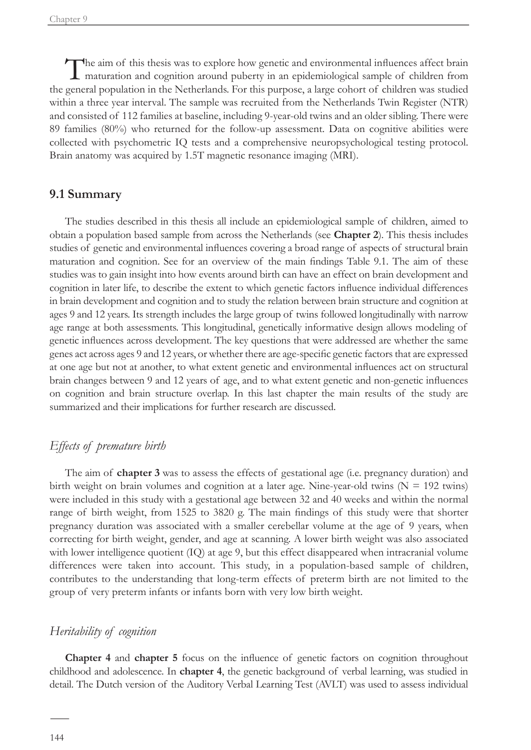The aim of this thesis was to explore how genetic and environmental influences affect brain maturation and cognition around puberty in an epidemiological sample of children from the general population in the Netherlands. For this purpose, a large cohort of children was studied within a three year interval. The sample was recruited from the Netherlands Twin Register (NTR) and consisted of 112 families at baseline, including 9-year-old twins and an older sibling. There were 89 families (80%) who returned for the follow-up assessment. Data on cognitive abilities were collected with psychometric IQ tests and a comprehensive neuropsychological testing protocol. Brain anatomy was acquired by 1.5T magnetic resonance imaging (MRI).

### **9.1 Summary**

The studies described in this thesis all include an epidemiological sample of children, aimed to obtain a population based sample from across the Netherlands (see **Chapter 2**). This thesis includes studies of genetic and environmental influences covering a broad range of aspects of structural brain maturation and cognition. See for an overview of the main findings Table 9.1. The aim of these studies was to gain insight into how events around birth can have an effect on brain development and cognition in later life, to describe the extent to which genetic factors influence individual differences in brain development and cognition and to study the relation between brain structure and cognition at ages 9 and 12 years. Its strength includes the large group of twins followed longitudinally with narrow age range at both assessments. This longitudinal, genetically informative design allows modeling of genetic influences across development. The key questions that were addressed are whether the same genes act across ages 9 and 12 years, or whether there are age-specific genetic factors that are expressed at one age but not at another, to what extent genetic and environmental influences act on structural brain changes between 9 and 12 years of age, and to what extent genetic and non-genetic influences on cognition and brain structure overlap. In this last chapter the main results of the study are summarized and their implications for further research are discussed.

## *Effects of premature birth*

The aim of **chapter 3** was to assess the effects of gestational age (i.e. pregnancy duration) and birth weight on brain volumes and cognition at a later age. Nine-year-old twins  $(N = 192 \text{ twins})$ were included in this study with a gestational age between 32 and 40 weeks and within the normal range of birth weight, from 1525 to 3820 g. The main findings of this study were that shorter pregnancy duration was associated with a smaller cerebellar volume at the age of 9 years, when correcting for birth weight, gender, and age at scanning. A lower birth weight was also associated with lower intelligence quotient (IQ) at age 9, but this effect disappeared when intracranial volume differences were taken into account. This study, in a population-based sample of children, contributes to the understanding that long-term effects of preterm birth are not limited to the group of very preterm infants or infants born with very low birth weight.

# *Heritability of cognition*

**Chapter 4** and **chapter 5** focus on the influence of genetic factors on cognition throughout childhood and adolescence. In **chapter 4**, the genetic background of verbal learning, was studied in detail. The Dutch version of the Auditory Verbal Learning Test (AVLT) was used to assess individual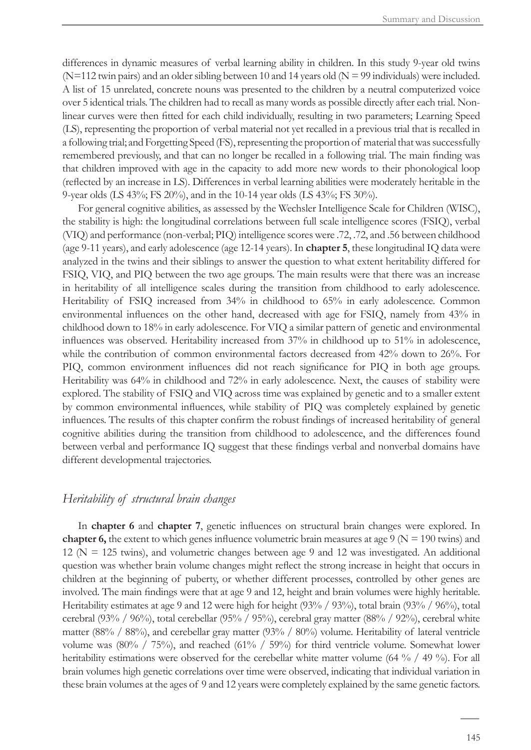differences in dynamic measures of verbal learning ability in children. In this study 9-year old twins (N=112 twin pairs) and an older sibling between 10 and 14 years old (N = 99 individuals) were included. A list of 15 unrelated, concrete nouns was presented to the children by a neutral computerized voice over 5 identical trials. The children had to recall as many words as possible directly after each trial. Nonlinear curves were then fitted for each child individually, resulting in two parameters; Learning Speed (LS), representing the proportion of verbal material not yet recalled in a previous trial that is recalled in a following trial; and Forgetting Speed (FS), representing the proportion of material that was successfully remembered previously, and that can no longer be recalled in a following trial. The main finding was that children improved with age in the capacity to add more new words to their phonological loop (reflected by an increase in LS). Differences in verbal learning abilities were moderately heritable in the 9-year olds (LS 43%; FS 20%), and in the 10-14 year olds (LS 43%; FS 30%).

For general cognitive abilities, as assessed by the Wechsler Intelligence Scale for Children (WISC), the stability is high: the longitudinal correlations between full scale intelligence scores (FSIQ), verbal (VIQ) and performance (non-verbal; PIQ) intelligence scores were .72, .72, and .56 between childhood (age 9-11 years), and early adolescence (age 12-14 years). In **chapter 5**, these longitudinal IQ data were analyzed in the twins and their siblings to answer the question to what extent heritability differed for FSIQ, VIQ, and PIQ between the two age groups. The main results were that there was an increase in heritability of all intelligence scales during the transition from childhood to early adolescence. Heritability of FSIQ increased from 34% in childhood to 65% in early adolescence. Common environmental influences on the other hand, decreased with age for FSIQ, namely from 43% in childhood down to 18% in early adolescence. For VIQ a similar pattern of genetic and environmental influences was observed. Heritability increased from 37% in childhood up to 51% in adolescence, while the contribution of common environmental factors decreased from 42% down to 26%. For PIQ, common environment influences did not reach significance for PIQ in both age groups. Heritability was 64% in childhood and 72% in early adolescence. Next, the causes of stability were explored. The stability of FSIQ and VIQ across time was explained by genetic and to a smaller extent by common environmental influences, while stability of PIQ was completely explained by genetic influences. The results of this chapter confirm the robust findings of increased heritability of general cognitive abilities during the transition from childhood to adolescence, and the differences found between verbal and performance IQ suggest that these findings verbal and nonverbal domains have different developmental trajectories.

#### *Heritability of structural brain changes*

In **chapter 6** and **chapter 7**, genetic influences on structural brain changes were explored. In **chapter 6,** the extent to which genes influence volumetric brain measures at age  $9 \text{ (N = 190 twins) and}$  $12$  (N = 125 twins), and volumetric changes between age 9 and 12 was investigated. An additional question was whether brain volume changes might reflect the strong increase in height that occurs in children at the beginning of puberty, or whether different processes, controlled by other genes are involved. The main findings were that at age 9 and 12, height and brain volumes were highly heritable. Heritability estimates at age 9 and 12 were high for height (93% / 93%), total brain (93% / 96%), total cerebral (93% / 96%), total cerebellar (95% / 95%), cerebral gray matter (88% / 92%), cerebral white matter (88% / 88%), and cerebellar gray matter (93% / 80%) volume. Heritability of lateral ventricle volume was  $(80\% / 75\%)$ , and reached  $(61\% / 59\%)$  for third ventricle volume. Somewhat lower heritability estimations were observed for the cerebellar white matter volume (64 % / 49 %). For all brain volumes high genetic correlations over time were observed, indicating that individual variation in these brain volumes at the ages of 9 and 12 years were completely explained by the same genetic factors.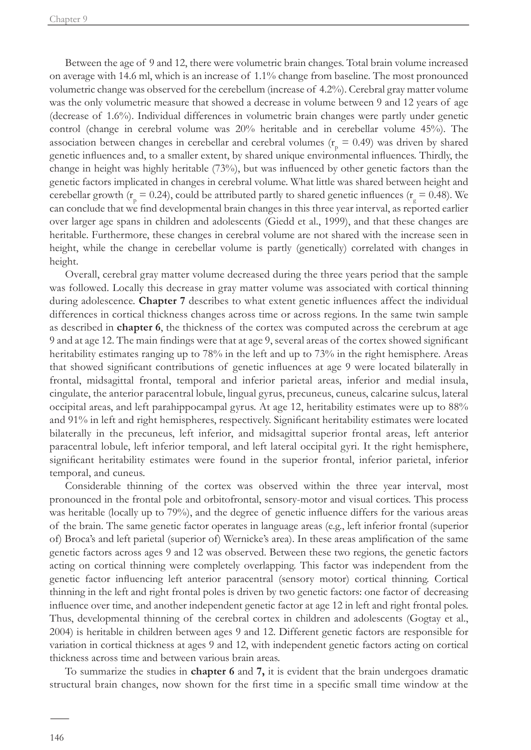Between the age of 9 and 12, there were volumetric brain changes. Total brain volume increased on average with 14.6 ml, which is an increase of 1.1% change from baseline. The most pronounced volumetric change was observed for the cerebellum (increase of 4.2%). Cerebral gray matter volume was the only volumetric measure that showed a decrease in volume between 9 and 12 years of age (decrease of 1.6%). Individual differences in volumetric brain changes were partly under genetic control (change in cerebral volume was 20% heritable and in cerebellar volume 45%). The association between changes in cerebellar and cerebral volumes ( $r_p = 0.49$ ) was driven by shared genetic influences and, to a smaller extent, by shared unique environmental influences. Thirdly, the change in height was highly heritable (73%), but was influenced by other genetic factors than the genetic factors implicated in changes in cerebral volume. What little was shared between height and cerebellar growth ( $r_p = 0.24$ ), could be attributed partly to shared genetic influences ( $r_g = 0.48$ ). We can conclude that we find developmental brain changes in this three year interval, as reported earlier over larger age spans in children and adolescents (Giedd et al., 1999), and that these changes are heritable. Furthermore, these changes in cerebral volume are not shared with the increase seen in height, while the change in cerebellar volume is partly (genetically) correlated with changes in height.

Overall, cerebral gray matter volume decreased during the three years period that the sample was followed. Locally this decrease in gray matter volume was associated with cortical thinning during adolescence. **Chapter 7** describes to what extent genetic influences affect the individual differences in cortical thickness changes across time or across regions. In the same twin sample as described in **chapter 6**, the thickness of the cortex was computed across the cerebrum at age 9 and at age 12. The main findings were that at age 9, several areas of the cortex showed significant heritability estimates ranging up to 78% in the left and up to 73% in the right hemisphere. Areas that showed significant contributions of genetic influences at age 9 were located bilaterally in frontal, midsagittal frontal, temporal and inferior parietal areas, inferior and medial insula, cingulate, the anterior paracentral lobule, lingual gyrus, precuneus, cuneus, calcarine sulcus, lateral occipital areas, and left parahippocampal gyrus. At age 12, heritability estimates were up to 88% and 91% in left and right hemispheres, respectively. Significant heritability estimates were located bilaterally in the precuneus, left inferior, and midsagittal superior frontal areas, left anterior paracentral lobule, left inferior temporal, and left lateral occipital gyri. It the right hemisphere, significant heritability estimates were found in the superior frontal, inferior parietal, inferior temporal, and cuneus.

Considerable thinning of the cortex was observed within the three year interval, most pronounced in the frontal pole and orbitofrontal, sensory-motor and visual cortices. This process was heritable (locally up to 79%), and the degree of genetic influence differs for the various areas of the brain. The same genetic factor operates in language areas (e.g., left inferior frontal (superior of) Broca's and left parietal (superior of) Wernicke's area). In these areas amplification of the same genetic factors across ages 9 and 12 was observed. Between these two regions, the genetic factors acting on cortical thinning were completely overlapping. This factor was independent from the genetic factor influencing left anterior paracentral (sensory motor) cortical thinning. Cortical thinning in the left and right frontal poles is driven by two genetic factors: one factor of decreasing influence over time, and another independent genetic factor at age 12 in left and right frontal poles. Thus, developmental thinning of the cerebral cortex in children and adolescents (Gogtay et al., 2004) is heritable in children between ages 9 and 12. Different genetic factors are responsible for variation in cortical thickness at ages 9 and 12, with independent genetic factors acting on cortical thickness across time and between various brain areas.

To summarize the studies in **chapter 6** and **7,** it is evident that the brain undergoes dramatic structural brain changes, now shown for the first time in a specific small time window at the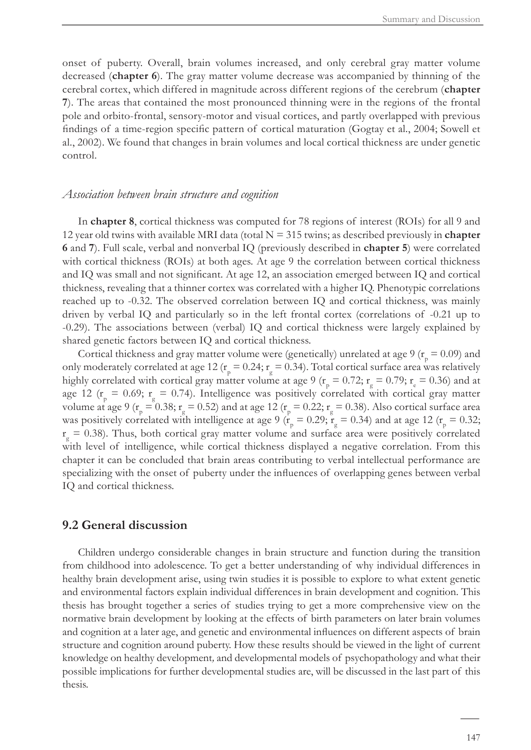onset of puberty. Overall, brain volumes increased, and only cerebral gray matter volume decreased (**chapter 6**). The gray matter volume decrease was accompanied by thinning of the cerebral cortex, which differed in magnitude across different regions of the cerebrum (**chapter 7**). The areas that contained the most pronounced thinning were in the regions of the frontal pole and orbito-frontal, sensory-motor and visual cortices, and partly overlapped with previous findings of a time-region specific pattern of cortical maturation (Gogtay et al., 2004; Sowell et al., 2002). We found that changes in brain volumes and local cortical thickness are under genetic control.

#### *Association between brain structure and cognition*

In **chapter 8**, cortical thickness was computed for 78 regions of interest (ROIs) for all 9 and 12 year old twins with available MRI data (total  $N = 315$  twins; as described previously in **chapter 6** and **7**). Full scale, verbal and nonverbal IQ (previously described in **chapter 5**) were correlated with cortical thickness (ROIs) at both ages. At age 9 the correlation between cortical thickness and IQ was small and not significant. At age 12, an association emerged between IQ and cortical thickness, revealing that a thinner cortex was correlated with a higher IQ. Phenotypic correlations reached up to -0.32. The observed correlation between IQ and cortical thickness, was mainly driven by verbal IQ and particularly so in the left frontal cortex (correlations of -0.21 up to -0.29). The associations between (verbal) IQ and cortical thickness were largely explained by shared genetic factors between IQ and cortical thickness.

Cortical thickness and gray matter volume were (genetically) unrelated at age 9 ( $r_p = 0.09$ ) and only moderately correlated at age 12 ( $r_p = 0.24$ ;  $r_g = 0.34$ ). Total cortical surface area was relatively highly correlated with cortical gray matter volume at age 9 ( $r_p = 0.72$ ;  $r_g = 0.79$ ;  $r_e = 0.36$ ) and at age 12 ( $r_p = 0.69$ ;  $r_g = 0.74$ ). Intelligence was positively correlated with cortical gray matter volume at age 9 ( $r_p = 0.38$ ;  $r_g = 0.52$ ) and at age 12 ( $r_p = 0.22$ ;  $r_g = 0.38$ ). Also cortical surface area was positively correlated with intelligence at age 9 ( $\dot{r}_p = 0.29$ ;  $\dot{r}_g = 0.34$ ) and at age 12 ( $r_p = 0.32$ ;  $r_g = 0.38$ ). Thus, both cortical gray matter volume and surface area were positively correlated with level of intelligence, while cortical thickness displayed a negative correlation. From this chapter it can be concluded that brain areas contributing to verbal intellectual performance are specializing with the onset of puberty under the influences of overlapping genes between verbal IQ and cortical thickness.

## **9.2 General discussion**

Children undergo considerable changes in brain structure and function during the transition from childhood into adolescence. To get a better understanding of why individual differences in healthy brain development arise, using twin studies it is possible to explore to what extent genetic and environmental factors explain individual differences in brain development and cognition. This thesis has brought together a series of studies trying to get a more comprehensive view on the normative brain development by looking at the effects of birth parameters on later brain volumes and cognition at a later age, and genetic and environmental influences on different aspects of brain structure and cognition around puberty. How these results should be viewed in the light of current knowledge on healthy development*,* and developmental models of psychopathology and what their possible implications for further developmental studies are, will be discussed in the last part of this thesis.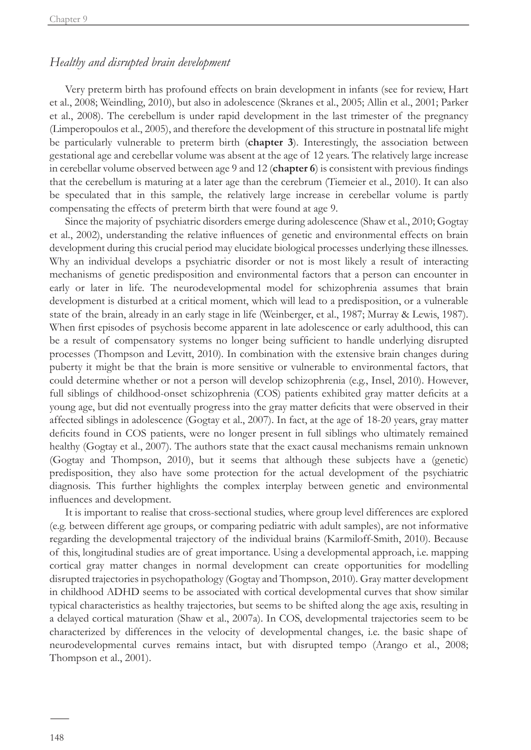## *Healthy and disrupted brain development*

Very preterm birth has profound effects on brain development in infants (see for review, Hart et al., 2008; Weindling, 2010), but also in adolescence (Skranes et al., 2005; Allin et al., 2001; Parker et al., 2008). The cerebellum is under rapid development in the last trimester of the pregnancy (Limperopoulos et al., 2005), and therefore the development of this structure in postnatal life might be particularly vulnerable to preterm birth (**chapter 3**). Interestingly, the association between gestational age and cerebellar volume was absent at the age of 12 years. The relatively large increase in cerebellar volume observed between age 9 and 12 (**chapter 6**) is consistent with previous findings that the cerebellum is maturing at a later age than the cerebrum (Tiemeier et al., 2010). It can also be speculated that in this sample, the relatively large increase in cerebellar volume is partly compensating the effects of preterm birth that were found at age 9.

Since the majority of psychiatric disorders emerge during adolescence (Shaw et al., 2010; Gogtay et al., 2002), understanding the relative influences of genetic and environmental effects on brain development during this crucial period may elucidate biological processes underlying these illnesses. Why an individual develops a psychiatric disorder or not is most likely a result of interacting mechanisms of genetic predisposition and environmental factors that a person can encounter in early or later in life. The neurodevelopmental model for schizophrenia assumes that brain development is disturbed at a critical moment, which will lead to a predisposition, or a vulnerable state of the brain, already in an early stage in life (Weinberger, et al., 1987; Murray & Lewis, 1987). When first episodes of psychosis become apparent in late adolescence or early adulthood, this can be a result of compensatory systems no longer being sufficient to handle underlying disrupted processes (Thompson and Levitt, 2010). In combination with the extensive brain changes during puberty it might be that the brain is more sensitive or vulnerable to environmental factors, that could determine whether or not a person will develop schizophrenia (e.g., Insel, 2010). However, full siblings of childhood-onset schizophrenia (COS) patients exhibited gray matter deficits at a young age, but did not eventually progress into the gray matter deficits that were observed in their affected siblings in adolescence (Gogtay et al., 2007). In fact, at the age of 18-20 years, gray matter deficits found in COS patients, were no longer present in full siblings who ultimately remained healthy (Gogtay et al., 2007). The authors state that the exact causal mechanisms remain unknown (Gogtay and Thompson, 2010), but it seems that although these subjects have a (genetic) predisposition, they also have some protection for the actual development of the psychiatric diagnosis. This further highlights the complex interplay between genetic and environmental influences and development.

It is important to realise that cross-sectional studies, where group level differences are explored (e.g. between different age groups, or comparing pediatric with adult samples), are not informative regarding the developmental trajectory of the individual brains (Karmiloff-Smith, 2010). Because of this, longitudinal studies are of great importance. Using a developmental approach, i.e. mapping cortical gray matter changes in normal development can create opportunities for modelling disrupted trajectories in psychopathology (Gogtay and Thompson, 2010). Gray matter development in childhood ADHD seems to be associated with cortical developmental curves that show similar typical characteristics as healthy trajectories, but seems to be shifted along the age axis, resulting in a delayed cortical maturation (Shaw et al., 2007a). In COS, developmental trajectories seem to be characterized by differences in the velocity of developmental changes, i.e. the basic shape of neurodevelopmental curves remains intact, but with disrupted tempo (Arango et al., 2008; Thompson et al., 2001).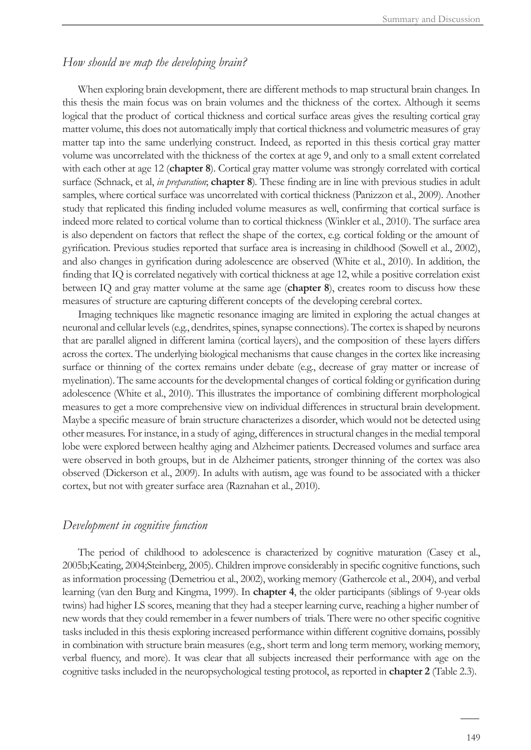#### *How should we map the developing brain?*

When exploring brain development, there are different methods to map structural brain changes. In this thesis the main focus was on brain volumes and the thickness of the cortex. Although it seems logical that the product of cortical thickness and cortical surface areas gives the resulting cortical gray matter volume, this does not automatically imply that cortical thickness and volumetric measures of gray matter tap into the same underlying construct. Indeed, as reported in this thesis cortical gray matter volume was uncorrelated with the thickness of the cortex at age 9, and only to a small extent correlated with each other at age 12 (**chapter 8**). Cortical gray matter volume was strongly correlated with cortical surface (Schnack, et al, *in preparation*; **chapter 8**)*.* These finding are in line with previous studies in adult samples, where cortical surface was uncorrelated with cortical thickness (Panizzon et al., 2009). Another study that replicated this finding included volume measures as well, confirming that cortical surface is indeed more related to cortical volume than to cortical thickness (Winkler et al., 2010). The surface area is also dependent on factors that reflect the shape of the cortex, e.g. cortical folding or the amount of gyrification. Previous studies reported that surface area is increasing in childhood (Sowell et al., 2002), and also changes in gyrification during adolescence are observed (White et al., 2010). In addition, the finding that IQ is correlated negatively with cortical thickness at age 12, while a positive correlation exist between IQ and gray matter volume at the same age (**chapter 8**), creates room to discuss how these measures of structure are capturing different concepts of the developing cerebral cortex.

Imaging techniques like magnetic resonance imaging are limited in exploring the actual changes at neuronal and cellular levels (e.g., dendrites, spines, synapse connections). The cortex is shaped by neurons that are parallel aligned in different lamina (cortical layers), and the composition of these layers differs across the cortex. The underlying biological mechanisms that cause changes in the cortex like increasing surface or thinning of the cortex remains under debate (e.g., decrease of gray matter or increase of myelination). The same accounts for the developmental changes of cortical folding or gyrification during adolescence (White et al., 2010). This illustrates the importance of combining different morphological measures to get a more comprehensive view on individual differences in structural brain development. Maybe a specific measure of brain structure characterizes a disorder, which would not be detected using other measures. For instance, in a study of aging, differences in structural changes in the medial temporal lobe were explored between healthy aging and Alzheimer patients. Decreased volumes and surface area were observed in both groups, but in de Alzheimer patients, stronger thinning of the cortex was also observed (Dickerson et al., 2009). In adults with autism, age was found to be associated with a thicker cortex, but not with greater surface area (Raznahan et al., 2010).

#### *Development in cognitive function*

The period of childhood to adolescence is characterized by cognitive maturation (Casey et al., 2005b;Keating, 2004;Steinberg, 2005). Children improve considerably in specific cognitive functions, such as information processing (Demetriou et al., 2002), working memory (Gathercole et al., 2004), and verbal learning (van den Burg and Kingma, 1999). In **chapter 4**, the older participants (siblings of 9-year olds twins) had higher LS scores, meaning that they had a steeper learning curve, reaching a higher number of new words that they could remember in a fewer numbers of trials. There were no other specific cognitive tasks included in this thesis exploring increased performance within different cognitive domains, possibly in combination with structure brain measures (e.g., short term and long term memory, working memory, verbal fluency, and more). It was clear that all subjects increased their performance with age on the cognitive tasks included in the neuropsychological testing protocol, as reported in **chapter 2** (Table 2.3).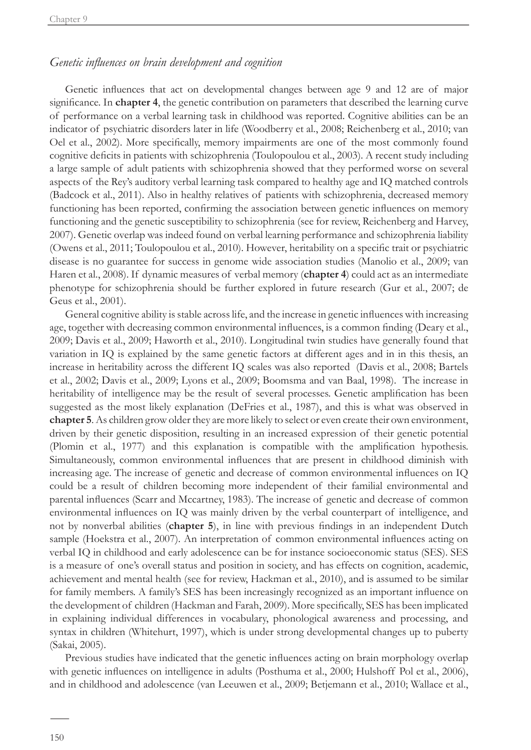# *Genetic influences on brain development and cognition*

Genetic influences that act on developmental changes between age 9 and 12 are of major significance. In **chapter 4**, the genetic contribution on parameters that described the learning curve of performance on a verbal learning task in childhood was reported. Cognitive abilities can be an indicator of psychiatric disorders later in life (Woodberry et al., 2008; Reichenberg et al., 2010; van Oel et al., 2002). More specifically, memory impairments are one of the most commonly found cognitive deficits in patients with schizophrenia (Toulopoulou et al., 2003). A recent study including a large sample of adult patients with schizophrenia showed that they performed worse on several aspects of the Rey's auditory verbal learning task compared to healthy age and IQ matched controls (Badcock et al., 2011). Also in healthy relatives of patients with schizophrenia, decreased memory functioning has been reported, confirming the association between genetic influences on memory functioning and the genetic susceptibility to schizophrenia (see for review, Reichenberg and Harvey, 2007). Genetic overlap was indeed found on verbal learning performance and schizophrenia liability (Owens et al., 2011; Toulopoulou et al., 2010). However, heritability on a specific trait or psychiatric disease is no guarantee for success in genome wide association studies (Manolio et al., 2009; van Haren et al., 2008). If dynamic measures of verbal memory (**chapter 4**) could act as an intermediate phenotype for schizophrenia should be further explored in future research (Gur et al., 2007; de Geus et al., 2001).

General cognitive ability is stable across life, and the increase in genetic influences with increasing age, together with decreasing common environmental influences, is a common finding (Deary et al., 2009; Davis et al., 2009; Haworth et al., 2010). Longitudinal twin studies have generally found that variation in IQ is explained by the same genetic factors at different ages and in in this thesis, an increase in heritability across the different IQ scales was also reported (Davis et al., 2008; Bartels et al., 2002; Davis et al., 2009; Lyons et al., 2009; Boomsma and van Baal, 1998). The increase in heritability of intelligence may be the result of several processes. Genetic amplification has been suggested as the most likely explanation (DeFries et al., 1987), and this is what was observed in **chapter 5**. As children grow older they are more likely to select or even create their own environment, driven by their genetic disposition, resulting in an increased expression of their genetic potential (Plomin et al., 1977) and this explanation is compatible with the amplification hypothesis. Simultaneously, common environmental influences that are present in childhood diminish with increasing age. The increase of genetic and decrease of common environmental influences on IQ could be a result of children becoming more independent of their familial environmental and parental influences (Scarr and Mccartney, 1983). The increase of genetic and decrease of common environmental influences on IQ was mainly driven by the verbal counterpart of intelligence, and not by nonverbal abilities (**chapter 5**), in line with previous findings in an independent Dutch sample (Hoekstra et al., 2007). An interpretation of common environmental influences acting on verbal IQ in childhood and early adolescence can be for instance socioeconomic status (SES). SES is a measure of one's overall status and position in society, and has effects on cognition, academic, achievement and mental health (see for review, Hackman et al., 2010), and is assumed to be similar for family members. A family's SES has been increasingly recognized as an important influence on the development of children (Hackman and Farah, 2009). More specifically, SES has been implicated in explaining individual differences in vocabulary, phonological awareness and processing, and syntax in children (Whitehurt, 1997), which is under strong developmental changes up to puberty (Sakai, 2005).

Previous studies have indicated that the genetic influences acting on brain morphology overlap with genetic influences on intelligence in adults (Posthuma et al., 2000; Hulshoff Pol et al., 2006), and in childhood and adolescence (van Leeuwen et al., 2009; Betjemann et al., 2010; Wallace et al.,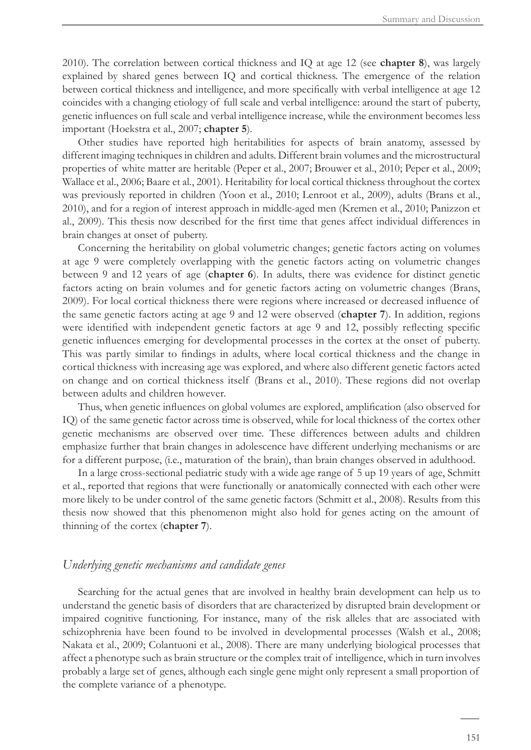2010). The correlation between cortical thickness and IQ at age 12 (see **chapter 8**), was largely explained by shared genes between IQ and cortical thickness. The emergence of the relation between cortical thickness and intelligence, and more specifically with verbal intelligence at age 12 coincides with a changing etiology of full scale and verbal intelligence: around the start of puberty, genetic influences on full scale and verbal intelligence increase, while the environment becomes less important (Hoekstra et al., 2007; **chapter 5**).

Other studies have reported high heritabilities for aspects of brain anatomy, assessed by different imaging techniques in children and adults. Different brain volumes and the microstructural properties of white matter are heritable (Peper et al., 2007; Brouwer et al., 2010; Peper et al., 2009; Wallace et al., 2006; Baare et al., 2001). Heritability for local cortical thickness throughout the cortex was previously reported in children (Yoon et al., 2010; Lenroot et al., 2009), adults (Brans et al., 2010), and for a region of interest approach in middle-aged men (Kremen et al., 2010; Panizzon et al., 2009). This thesis now described for the first time that genes affect individual differences in brain changes at onset of puberty.

Concerning the heritability on global volumetric changes; genetic factors acting on volumes at age 9 were completely overlapping with the genetic factors acting on volumetric changes between 9 and 12 years of age (**chapter 6**). In adults, there was evidence for distinct genetic factors acting on brain volumes and for genetic factors acting on volumetric changes (Brans, 2009). For local cortical thickness there were regions where increased or decreased influence of the same genetic factors acting at age 9 and 12 were observed (**chapter 7**). In addition, regions were identified with independent genetic factors at age 9 and 12, possibly reflecting specific genetic influences emerging for developmental processes in the cortex at the onset of puberty. This was partly similar to findings in adults, where local cortical thickness and the change in cortical thickness with increasing age was explored, and where also different genetic factors acted on change and on cortical thickness itself (Brans et al., 2010). These regions did not overlap between adults and children however.

Thus, when genetic influences on global volumes are explored, amplification (also observed for IQ) of the same genetic factor across time is observed, while for local thickness of the cortex other genetic mechanisms are observed over time. These differences between adults and children emphasize further that brain changes in adolescence have different underlying mechanisms or are for a different purpose, (i.e., maturation of the brain), than brain changes observed in adulthood.

In a large cross-sectional pediatric study with a wide age range of 5 up 19 years of age, Schmitt et al., reported that regions that were functionally or anatomically connected with each other were more likely to be under control of the same genetic factors (Schmitt et al., 2008). Results from this thesis now showed that this phenomenon might also hold for genes acting on the amount of thinning of the cortex (**chapter 7**).

#### *Underlying genetic mechanisms and candidate genes*

Searching for the actual genes that are involved in healthy brain development can help us to understand the genetic basis of disorders that are characterized by disrupted brain development or impaired cognitive functioning. For instance, many of the risk alleles that are associated with schizophrenia have been found to be involved in developmental processes (Walsh et al., 2008; Nakata et al., 2009; Colantuoni et al., 2008). There are many underlying biological processes that affect a phenotype such as brain structure or the complex trait of intelligence, which in turn involves probably a large set of genes, although each single gene might only represent a small proportion of the complete variance of a phenotype.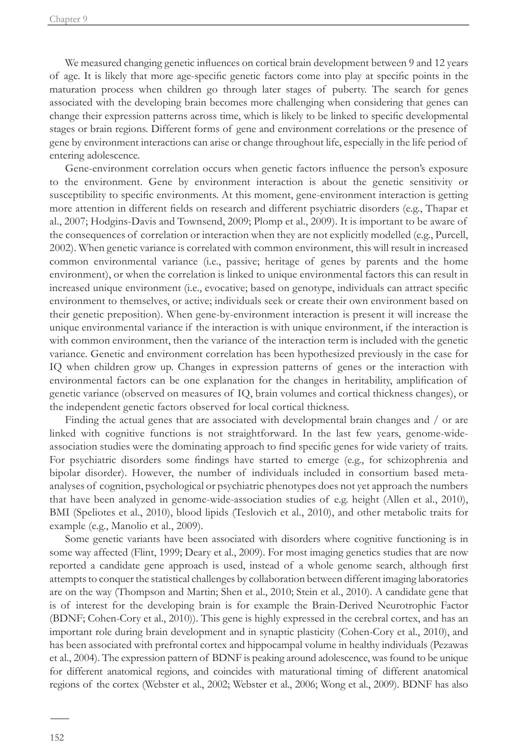We measured changing genetic influences on cortical brain development between 9 and 12 years of age. It is likely that more age-specific genetic factors come into play at specific points in the maturation process when children go through later stages of puberty. The search for genes associated with the developing brain becomes more challenging when considering that genes can change their expression patterns across time, which is likely to be linked to specific developmental stages or brain regions. Different forms of gene and environment correlations or the presence of gene by environment interactions can arise or change throughout life, especially in the life period of entering adolescence.

Gene-environment correlation occurs when genetic factors influence the person's exposure to the environment. Gene by environment interaction is about the genetic sensitivity or susceptibility to specific environments. At this moment, gene-environment interaction is getting more attention in different fields on research and different psychiatric disorders (e.g., Thapar et al., 2007; Hodgins-Davis and Townsend, 2009; Plomp et al., 2009). It is important to be aware of the consequences of correlation or interaction when they are not explicitly modelled (e.g., Purcell, 2002). When genetic variance is correlated with common environment, this will result in increased common environmental variance (i.e., passive; heritage of genes by parents and the home environment), or when the correlation is linked to unique environmental factors this can result in increased unique environment (i.e., evocative; based on genotype, individuals can attract specific environment to themselves, or active; individuals seek or create their own environment based on their genetic preposition). When gene-by-environment interaction is present it will increase the unique environmental variance if the interaction is with unique environment, if the interaction is with common environment, then the variance of the interaction term is included with the genetic variance. Genetic and environment correlation has been hypothesized previously in the case for IQ when children grow up. Changes in expression patterns of genes or the interaction with environmental factors can be one explanation for the changes in heritability, amplification of genetic variance (observed on measures of IQ, brain volumes and cortical thickness changes), or the independent genetic factors observed for local cortical thickness.

Finding the actual genes that are associated with developmental brain changes and / or are linked with cognitive functions is not straightforward. In the last few years, genome-wideassociation studies were the dominating approach to find specific genes for wide variety of traits. For psychiatric disorders some findings have started to emerge (e.g., for schizophrenia and bipolar disorder). However, the number of individuals included in consortium based metaanalyses of cognition, psychological or psychiatric phenotypes does not yet approach the numbers that have been analyzed in genome-wide-association studies of e.g. height (Allen et al., 2010), BMI (Speliotes et al., 2010), blood lipids (Teslovich et al., 2010), and other metabolic traits for example (e.g., Manolio et al., 2009).

Some genetic variants have been associated with disorders where cognitive functioning is in some way affected (Flint, 1999; Deary et al., 2009). For most imaging genetics studies that are now reported a candidate gene approach is used, instead of a whole genome search, although first attempts to conquer the statistical challenges by collaboration between different imaging laboratories are on the way (Thompson and Martin; Shen et al., 2010; Stein et al., 2010). A candidate gene that is of interest for the developing brain is for example the Brain-Derived Neurotrophic Factor (BDNF; Cohen-Cory et al., 2010)). This gene is highly expressed in the cerebral cortex, and has an important role during brain development and in synaptic plasticity (Cohen-Cory et al., 2010), and has been associated with prefrontal cortex and hippocampal volume in healthy individuals (Pezawas et al., 2004). The expression pattern of BDNF is peaking around adolescence, was found to be unique for different anatomical regions, and coincides with maturational timing of different anatomical regions of the cortex (Webster et al., 2002; Webster et al., 2006; Wong et al., 2009). BDNF has also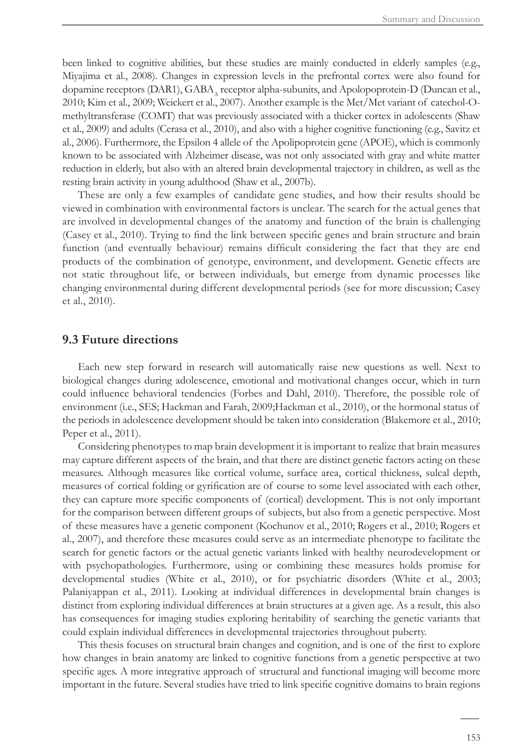been linked to cognitive abilities, but these studies are mainly conducted in elderly samples (e.g., Miyajima et al., 2008). Changes in expression levels in the prefrontal cortex were also found for dopamine receptors (DAR1), GABA, receptor alpha-subunits, and Apolopoprotein-D (Duncan et al., 2010; Kim et al., 2009; Weickert et al., 2007). Another example is the Met/Met variant of catechol-Omethyltransferase (COMT) that was previously associated with a thicker cortex in adolescents (Shaw et al., 2009) and adults (Cerasa et al., 2010), and also with a higher cognitive functioning (e.g., Savitz et al., 2006). Furthermore, the Epsilon 4 allele of the Apolipoprotein gene (APOE), which is commonly known to be associated with Alzheimer disease, was not only associated with gray and white matter reduction in elderly, but also with an altered brain developmental trajectory in children, as well as the resting brain activity in young adulthood (Shaw et al., 2007b).

These are only a few examples of candidate gene studies, and how their results should be viewed in combination with environmental factors is unclear. The search for the actual genes that are involved in developmental changes of the anatomy and function of the brain is challenging (Casey et al., 2010). Trying to find the link between specific genes and brain structure and brain function (and eventually behaviour) remains difficult considering the fact that they are end products of the combination of genotype, environment, and development. Genetic effects are not static throughout life, or between individuals, but emerge from dynamic processes like changing environmental during different developmental periods (see for more discussion; Casey et al., 2010).

### **9.3 Future directions**

Each new step forward in research will automatically raise new questions as well. Next to biological changes during adolescence, emotional and motivational changes occur, which in turn could influence behavioral tendencies (Forbes and Dahl, 2010). Therefore, the possible role of environment (i.e., SES; Hackman and Farah, 2009;Hackman et al., 2010), or the hormonal status of the periods in adolescence development should be taken into consideration (Blakemore et al., 2010; Peper et al., 2011).

Considering phenotypes to map brain development it is important to realize that brain measures may capture different aspects of the brain, and that there are distinct genetic factors acting on these measures. Although measures like cortical volume, surface area, cortical thickness, sulcal depth, measures of cortical folding or gyrification are of course to some level associated with each other, they can capture more specific components of (cortical) development. This is not only important for the comparison between different groups of subjects, but also from a genetic perspective. Most of these measures have a genetic component (Kochunov et al., 2010; Rogers et al., 2010; Rogers et al., 2007), and therefore these measures could serve as an intermediate phenotype to facilitate the search for genetic factors or the actual genetic variants linked with healthy neurodevelopment or with psychopathologies. Furthermore, using or combining these measures holds promise for developmental studies (White et al., 2010), or for psychiatric disorders (White et al., 2003; Palaniyappan et al., 2011). Looking at individual differences in developmental brain changes is distinct from exploring individual differences at brain structures at a given age. As a result, this also has consequences for imaging studies exploring heritability of searching the genetic variants that could explain individual differences in developmental trajectories throughout puberty.

This thesis focuses on structural brain changes and cognition, and is one of the first to explore how changes in brain anatomy are linked to cognitive functions from a genetic perspective at two specific ages. A more integrative approach of structural and functional imaging will become more important in the future. Several studies have tried to link specific cognitive domains to brain regions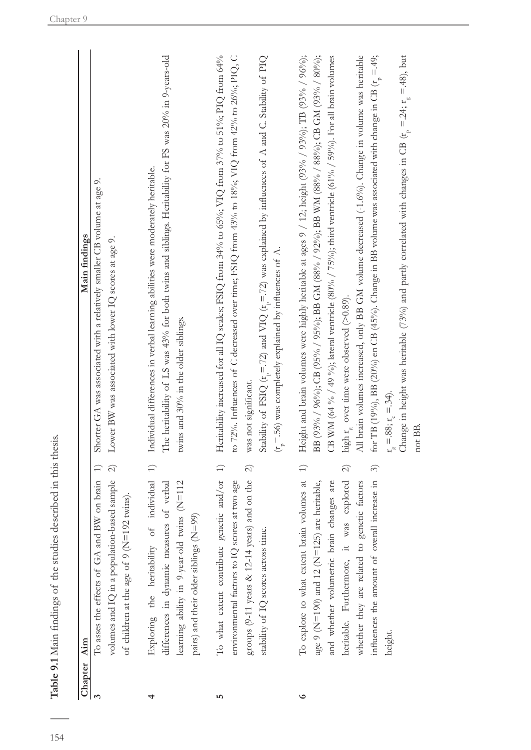| Chapter Aim |                                                                                                                                                                                                                                                                                                       | Main findings                                                                                                                                                                                                                                                                                                                                                                                                                                                                                                                                                                                                                                                                                                                                                                                                      |
|-------------|-------------------------------------------------------------------------------------------------------------------------------------------------------------------------------------------------------------------------------------------------------------------------------------------------------|--------------------------------------------------------------------------------------------------------------------------------------------------------------------------------------------------------------------------------------------------------------------------------------------------------------------------------------------------------------------------------------------------------------------------------------------------------------------------------------------------------------------------------------------------------------------------------------------------------------------------------------------------------------------------------------------------------------------------------------------------------------------------------------------------------------------|
|             | volumes and IQ in a population-based sample<br>To asses the effects of GA and BW on brain<br>of children at the age of 9 ( $N=192$ twins).                                                                                                                                                            | Shorter GA was associated with a relatively smaller CB volume at age 9.<br>Lower BW was associated with lower IQ scores at age 9.<br>$\widehat{\infty}$<br>$\widehat{=}$                                                                                                                                                                                                                                                                                                                                                                                                                                                                                                                                                                                                                                           |
|             | of individual 1)<br>twins $(N=112)$<br>differences in dynamic measures of verbal<br>pairs) and their older siblings (N=99)<br>learning ability in 9-year-old<br>Exploring the heritability                                                                                                            | The heritability of LS was 43% for both twins and siblings. Heritability for FS was 20% in 9-years-old<br>Individual differences in verbal learning abilities were moderately heritable.<br>twins and 30% in the older siblings.                                                                                                                                                                                                                                                                                                                                                                                                                                                                                                                                                                                   |
| ۱           | To what extent contribute genetic and/or<br>groups $(9-11$ years & $12-14$ years) and on the<br>environmental factors to IQ scores at two age<br>stability of IQ scores across time.                                                                                                                  | Heritability increased for all IQ scales; FSIQ from 34% to 65%; VIQ from 37% to 51%; PIQ from 64%<br>to 72%. Influences of C decreased over time; FSIQ from 43% to 18%; VIQ from 42% to 26%; PIQ, C<br>Stability of FSIQ ( $t = 72$ ) and VIQ ( $t = 72$ ) was explained by influences of A and C. Stability of PIQ<br>$(r_{\overline{p}} = .56)$ was completely explained by influences of A.<br>was not significant.<br>$\ominus$<br>$\widehat{\mathcal{N}}$                                                                                                                                                                                                                                                                                                                                                     |
| $\circ$     | To explore to what extent brain volumes at<br>was explored<br>influences the amount of overall increase in<br>and whether volumetric brain changes are<br>age 9 ( $N=190$ ) and 12 ( $N=125$ ) are heritable,<br>whether they are related to genetic factors<br>heritable. Furthermore, it<br>height. | Height and brain volumes were highly heritable at ages 9 / 12; height (93% / 93%); ITB (93% / 96%);<br>BB (93% / 96%); CB (95% / 95%); BB GM (88% / 92%); BB WM (88% / 88%); CB GM (93% / 80%);<br>All brain volumes increased, only BB GM volume decreased (-1.6%). Change in volume was heritable<br>for TB (19%), BB (20%) en CB (45%). Change in BB volume was associated with change in CB ( $t_p = .49$ ;<br>Change in height was heritable (73%) and partly correlated with changes in CB ( $r_p = 24$ ; $r_g = 48$ ), but<br>CB WM (64 % / 49 %); lateral ventricle (80% / 75%); third ventricle (61% / 59%). For all brain volumes<br>high r <sub>2</sub> over time were observed (>0.89).<br>$r_{\rm g} = 88; r_{\rm e} = 34$ .<br>not BB.<br>$\ominus$<br>$\widehat{\mathcal{E}}$<br>$\widehat{\infty}$ |

Table 9.1 Main findings of the studies described in this thesis.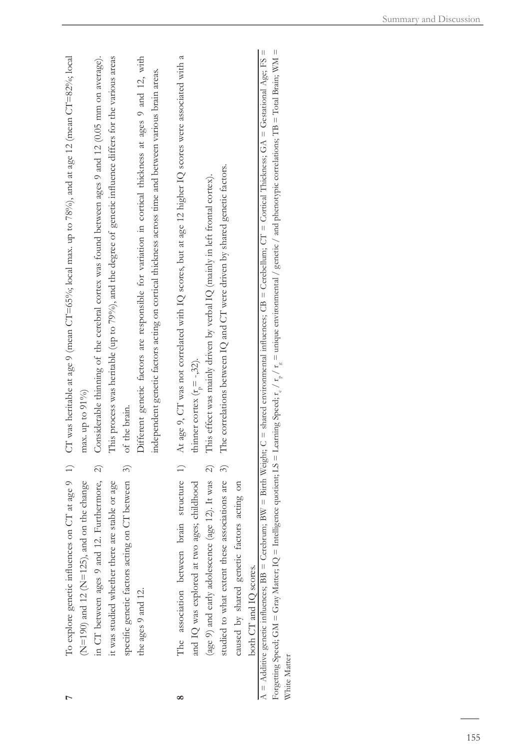|              | in CT between ages 9 and 12. Furthermore, 2)<br>specific genetic factors acting on CT between 3)<br>$(N=190)$ and 12 $(N=125)$ , and on the change<br>it was studied whether there are stable or age<br>the ages 9 and 12.                                                       | To explore genetic influences on CT at age 9 1) CT was heritable at age 9 (mean CT=65%; local max. up to 78%), and at age 12 (mean CT=82%; local<br>Considerable thinning of the cerebral cortex was found between ages 9 and 12 (0.05 mm on average).<br>This process was heritable (up to 79%), and the degree of genetic influence differs for the various areas<br>Different genetic factors are responsible for variation in cortical thickness at ages 9 and 12, with<br>max. up to $91\%$<br>of the brain. |
|--------------|----------------------------------------------------------------------------------------------------------------------------------------------------------------------------------------------------------------------------------------------------------------------------------|-------------------------------------------------------------------------------------------------------------------------------------------------------------------------------------------------------------------------------------------------------------------------------------------------------------------------------------------------------------------------------------------------------------------------------------------------------------------------------------------------------------------|
|              | brain structure 1)<br>3)<br>$\widehat{\mathcal{N}}$<br>associations are<br>(age 9) and early adolescence (age 12). It was<br>caused by shared genetic factors acting on<br>and IQ was explored at two ages; childhood<br>studied to what extent these<br>The association between | At age 9, CT was not correlated with IQ scores, but at age 12 higher IQ scores were associated with a<br>independent genetic factors acting on cortical thickness across time and between various brain areas.<br>The correlations between IQ and CT were driven by shared genetic factors.<br>This effect was mainly driven by verbal IQ (mainly in left frontal cortex).<br>thinner cortex $(rn = -32)$ .                                                                                                       |
| White Matter | both CT and IQ scores.                                                                                                                                                                                                                                                           | $A = Additive$ genetic influences; $BB = Cerebrum; BW = Bird Weight; C = shared information; BC = B = Cerebrum; B = C = 1$ and influences; $CB = Cerebellum; C = C = C = C = C$<br>Forgetting Speed; GM = Gray Matter; $IQ$ = Intelligence quotient; $LS$ = Learning Speed; $\tau_e/\tau_p/\tau_e$ = unique envirommental / genetic / and phenotypic correlations; TB = Total Brain; WM =                                                                                                                         |
|              |                                                                                                                                                                                                                                                                                  |                                                                                                                                                                                                                                                                                                                                                                                                                                                                                                                   |

**8**

**7**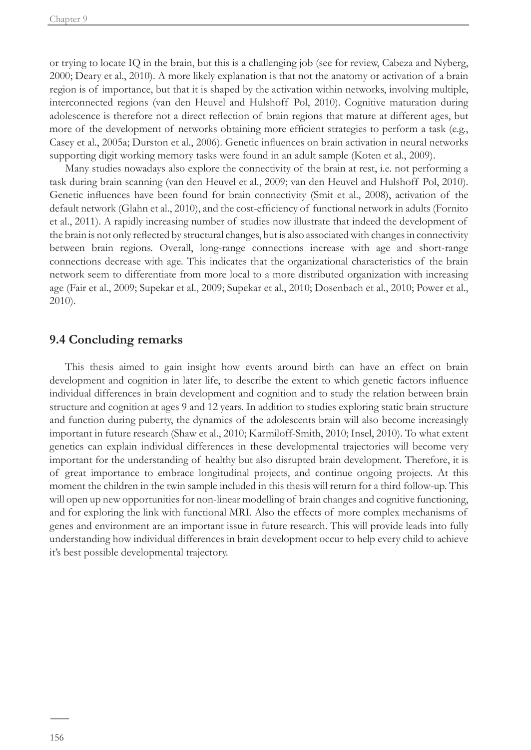or trying to locate IQ in the brain, but this is a challenging job (see for review, Cabeza and Nyberg, 2000; Deary et al., 2010). A more likely explanation is that not the anatomy or activation of a brain region is of importance, but that it is shaped by the activation within networks, involving multiple, interconnected regions (van den Heuvel and Hulshoff Pol, 2010). Cognitive maturation during adolescence is therefore not a direct reflection of brain regions that mature at different ages, but more of the development of networks obtaining more efficient strategies to perform a task (e.g., Casey et al., 2005a; Durston et al., 2006). Genetic influences on brain activation in neural networks supporting digit working memory tasks were found in an adult sample (Koten et al., 2009).

Many studies nowadays also explore the connectivity of the brain at rest, i.e. not performing a task during brain scanning (van den Heuvel et al., 2009; van den Heuvel and Hulshoff Pol, 2010). Genetic influences have been found for brain connectivity (Smit et al., 2008), activation of the default network (Glahn et al., 2010), and the cost-efficiency of functional network in adults (Fornito et al., 2011). A rapidly increasing number of studies now illustrate that indeed the development of the brain is not only reflected by structural changes, but is also associated with changes in connectivity between brain regions. Overall, long-range connections increase with age and short-range connections decrease with age. This indicates that the organizational characteristics of the brain network seem to differentiate from more local to a more distributed organization with increasing age (Fair et al., 2009; Supekar et al., 2009; Supekar et al., 2010; Dosenbach et al., 2010; Power et al., 2010).

### **9.4 Concluding remarks**

This thesis aimed to gain insight how events around birth can have an effect on brain development and cognition in later life, to describe the extent to which genetic factors influence individual differences in brain development and cognition and to study the relation between brain structure and cognition at ages 9 and 12 years. In addition to studies exploring static brain structure and function during puberty, the dynamics of the adolescents brain will also become increasingly important in future research (Shaw et al., 2010; Karmiloff-Smith, 2010; Insel, 2010). To what extent genetics can explain individual differences in these developmental trajectories will become very important for the understanding of healthy but also disrupted brain development. Therefore, it is of great importance to embrace longitudinal projects, and continue ongoing projects. At this moment the children in the twin sample included in this thesis will return for a third follow-up. This will open up new opportunities for non-linear modelling of brain changes and cognitive functioning, and for exploring the link with functional MRI*.* Also the effects of more complex mechanisms of genes and environment are an important issue in future research. This will provide leads into fully understanding how individual differences in brain development occur to help every child to achieve it's best possible developmental trajectory.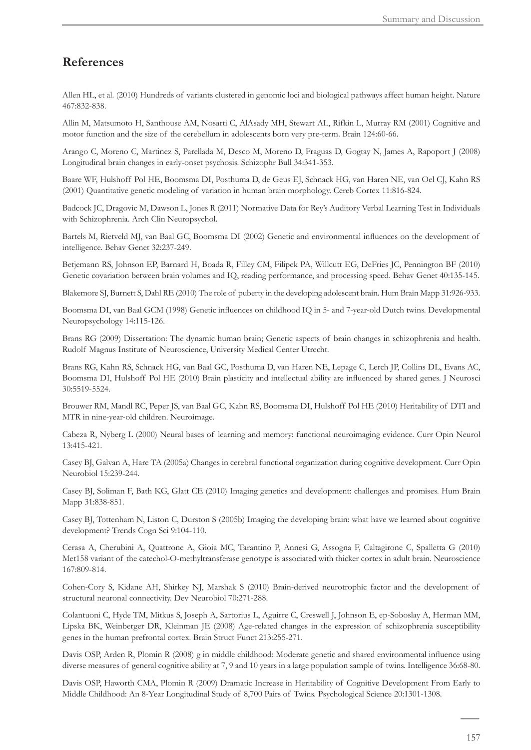# **References**

Allen HL, et al. (2010) Hundreds of variants clustered in genomic loci and biological pathways affect human height. Nature 467:832-838.

Allin M, Matsumoto H, Santhouse AM, Nosarti C, AlAsady MH, Stewart AL, Rifkin L, Murray RM (2001) Cognitive and motor function and the size of the cerebellum in adolescents born very pre-term. Brain 124:60-66.

Arango C, Moreno C, Martinez S, Parellada M, Desco M, Moreno D, Fraguas D, Gogtay N, James A, Rapoport J (2008) Longitudinal brain changes in early-onset psychosis. Schizophr Bull 34:341-353.

Baare WF, Hulshoff Pol HE, Boomsma DI, Posthuma D, de Geus EJ, Schnack HG, van Haren NE, van Oel CJ, Kahn RS (2001) Quantitative genetic modeling of variation in human brain morphology. Cereb Cortex 11:816-824.

Badcock JC, Dragovic M, Dawson L, Jones R (2011) Normative Data for Rey's Auditory Verbal Learning Test in Individuals with Schizophrenia. Arch Clin Neuropsychol.

Bartels M, Rietveld MJ, van Baal GC, Boomsma DI (2002) Genetic and environmental influences on the development of intelligence. Behav Genet 32:237-249.

Betjemann RS, Johnson EP, Barnard H, Boada R, Filley CM, Filipek PA, Willcutt EG, DeFries JC, Pennington BF (2010) Genetic covariation between brain volumes and IQ, reading performance, and processing speed. Behav Genet 40:135-145.

Blakemore SJ, Burnett S, Dahl RE (2010) The role of puberty in the developing adolescent brain. Hum Brain Mapp 31:926-933.

Boomsma DI, van Baal GCM (1998) Genetic influences on childhood IQ in 5- and 7-year-old Dutch twins. Developmental Neuropsychology 14:115-126.

Brans RG (2009) Dissertation: The dynamic human brain; Genetic aspects of brain changes in schizophrenia and health. Rudolf Magnus Institute of Neuroscience, University Medical Center Utrecht.

Brans RG, Kahn RS, Schnack HG, van Baal GC, Posthuma D, van Haren NE, Lepage C, Lerch JP, Collins DL, Evans AC, Boomsma DI, Hulshoff Pol HE (2010) Brain plasticity and intellectual ability are influenced by shared genes. J Neurosci 30:5519-5524.

Brouwer RM, Mandl RC, Peper JS, van Baal GC, Kahn RS, Boomsma DI, Hulshoff Pol HE (2010) Heritability of DTI and MTR in nine-year-old children. Neuroimage.

Cabeza R, Nyberg L (2000) Neural bases of learning and memory: functional neuroimaging evidence. Curr Opin Neurol 13:415-421.

Casey BJ, Galvan A, Hare TA (2005a) Changes in cerebral functional organization during cognitive development. Curr Opin Neurobiol 15:239-244.

Casey BJ, Soliman F, Bath KG, Glatt CE (2010) Imaging genetics and development: challenges and promises. Hum Brain Mapp 31:838-851.

Casey BJ, Tottenham N, Liston C, Durston S (2005b) Imaging the developing brain: what have we learned about cognitive development? Trends Cogn Sci 9:104-110.

Cerasa A, Cherubini A, Quattrone A, Gioia MC, Tarantino P, Annesi G, Assogna F, Caltagirone C, Spalletta G (2010) Met158 variant of the catechol-O-methyltransferase genotype is associated with thicker cortex in adult brain. Neuroscience 167:809-814.

Cohen-Cory S, Kidane AH, Shirkey NJ, Marshak S (2010) Brain-derived neurotrophic factor and the development of structural neuronal connectivity. Dev Neurobiol 70:271-288.

Colantuoni C, Hyde TM, Mitkus S, Joseph A, Sartorius L, Aguirre C, Creswell J, Johnson E, ep-Soboslay A, Herman MM, Lipska BK, Weinberger DR, Kleinman JE (2008) Age-related changes in the expression of schizophrenia susceptibility genes in the human prefrontal cortex. Brain Struct Funct 213:255-271.

Davis OSP, Arden R, Plomin R (2008) g in middle childhood: Moderate genetic and shared environmental influence using diverse measures of general cognitive ability at 7, 9 and 10 years in a large population sample of twins. Intelligence 36:68-80.

Davis OSP, Haworth CMA, Plomin R (2009) Dramatic Increase in Heritability of Cognitive Development From Early to Middle Childhood: An 8-Year Longitudinal Study of 8,700 Pairs of Twins. Psychological Science 20:1301-1308.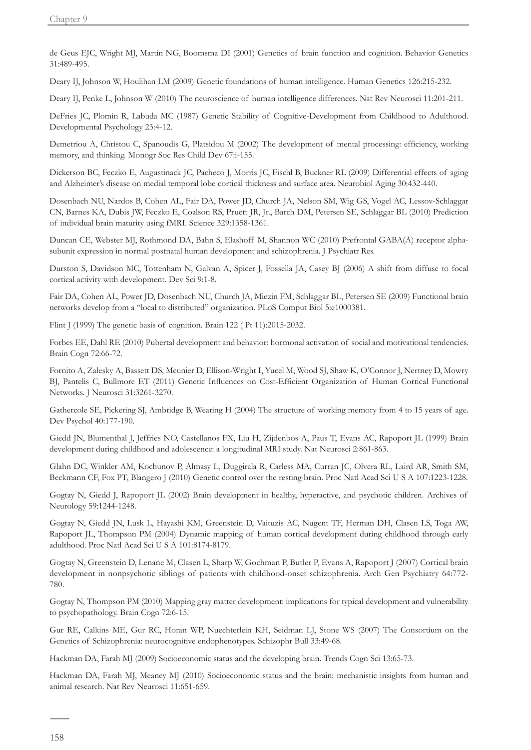de Geus EJC, Wright MJ, Martin NG, Boomsma DI (2001) Genetics of brain function and cognition. Behavior Genetics 31:489-495.

Deary IJ, Johnson W, Houlihan LM (2009) Genetic foundations of human intelligence. Human Genetics 126:215-232.

Deary IJ, Penke L, Johnson W (2010) The neuroscience of human intelligence differences. Nat Rev Neurosci 11:201-211.

DeFries JC, Plomin R, Labuda MC (1987) Genetic Stability of Cognitive-Development from Childhood to Adulthood. Developmental Psychology 23:4-12.

Demetriou A, Christou C, Spanoudis G, Platsidou M (2002) The development of mental processing: efficiency, working memory, and thinking. Monogr Soc Res Child Dev 67:i-155.

Dickerson BC, Feczko E, Augustinack JC, Pacheco J, Morris JC, Fischl B, Buckner RL (2009) Differential effects of aging and Alzheimer's disease on medial temporal lobe cortical thickness and surface area. Neurobiol Aging 30:432-440.

Dosenbach NU, Nardos B, Cohen AL, Fair DA, Power JD, Church JA, Nelson SM, Wig GS, Vogel AC, Lessov-Schlaggar CN, Barnes KA, Dubis JW, Feczko E, Coalson RS, Pruett JR, Jr., Barch DM, Petersen SE, Schlaggar BL (2010) Prediction of individual brain maturity using fMRI. Science 329:1358-1361.

Duncan CE, Webster MJ, Rothmond DA, Bahn S, Elashoff M, Shannon WC (2010) Prefrontal GABA(A) receptor alphasubunit expression in normal postnatal human development and schizophrenia. J Psychiatr Res.

Durston S, Davidson MC, Tottenham N, Galvan A, Spicer J, Fossella JA, Casey BJ (2006) A shift from diffuse to focal cortical activity with development. Dev Sci 9:1-8.

Fair DA, Cohen AL, Power JD, Dosenbach NU, Church JA, Miezin FM, Schlaggar BL, Petersen SE (2009) Functional brain networks develop from a "local to distributed" organization. PLoS Comput Biol 5:e1000381.

Flint J (1999) The genetic basis of cognition. Brain 122 ( Pt 11):2015-2032.

Forbes EE, Dahl RE (2010) Pubertal development and behavior: hormonal activation of social and motivational tendencies. Brain Cogn 72:66-72.

Fornito A, Zalesky A, Bassett DS, Meunier D, Ellison-Wright I, Yucel M, Wood SJ, Shaw K, O'Connor J, Nertney D, Mowry BJ, Pantelis C, Bullmore ET (2011) Genetic Influences on Cost-Efficient Organization of Human Cortical Functional Networks. J Neurosci 31:3261-3270.

Gathercole SE, Pickering SJ, Ambridge B, Wearing H (2004) The structure of working memory from 4 to 15 years of age. Dev Psychol 40:177-190.

Giedd JN, Blumenthal J, Jeffries NO, Castellanos FX, Liu H, Zijdenbos A, Paus T, Evans AC, Rapoport JL (1999) Brain development during childhood and adolescence: a longitudinal MRI study. Nat Neurosci 2:861-863.

Glahn DC, Winkler AM, Kochunov P, Almasy L, Duggirala R, Carless MA, Curran JC, Olvera RL, Laird AR, Smith SM, Beckmann CF, Fox PT, Blangero J (2010) Genetic control over the resting brain. Proc Natl Acad Sci U S A 107:1223-1228.

Gogtay N, Giedd J, Rapoport JL (2002) Brain development in healthy, hyperactive, and psychotic children. Archives of Neurology 59:1244-1248.

Gogtay N, Giedd JN, Lusk L, Hayashi KM, Greenstein D, Vaituzis AC, Nugent TF, Herman DH, Clasen LS, Toga AW, Rapoport JL, Thompson PM (2004) Dynamic mapping of human cortical development during childhood through early adulthood. Proc Natl Acad Sci U S A 101:8174-8179.

Gogtay N, Greenstein D, Lenane M, Clasen L, Sharp W, Gochman P, Butler P, Evans A, Rapoport J (2007) Cortical brain development in nonpsychotic siblings of patients with childhood-onset schizophrenia. Arch Gen Psychiatry 64:772- 780.

Gogtay N, Thompson PM (2010) Mapping gray matter development: implications for typical development and vulnerability to psychopathology. Brain Cogn 72:6-15.

Gur RE, Calkins ME, Gur RC, Horan WP, Nuechterlein KH, Seidman LJ, Stone WS (2007) The Consortium on the Genetics of Schizophrenia: neurocognitive endophenotypes. Schizophr Bull 33:49-68.

Hackman DA, Farah MJ (2009) Socioeconomic status and the developing brain. Trends Cogn Sci 13:65-73.

Hackman DA, Farah MJ, Meaney MJ (2010) Socioeconomic status and the brain: mechanistic insights from human and animal research. Nat Rev Neurosci 11:651-659.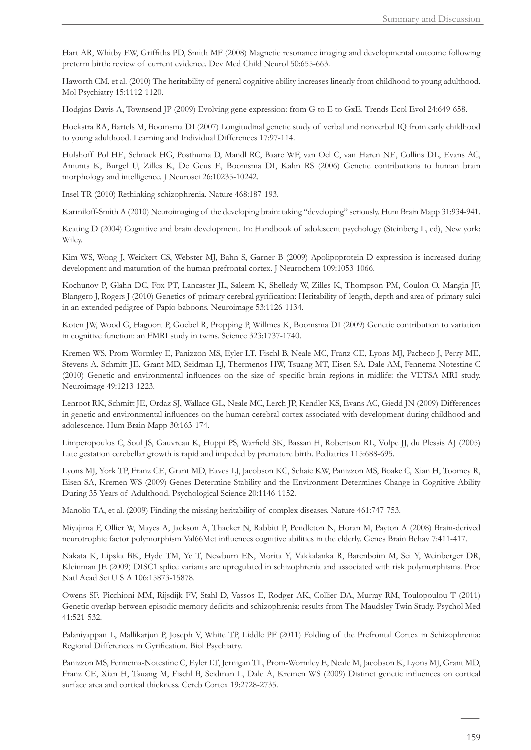Hart AR, Whitby EW, Griffiths PD, Smith MF (2008) Magnetic resonance imaging and developmental outcome following preterm birth: review of current evidence. Dev Med Child Neurol 50:655-663.

Haworth CM, et al. (2010) The heritability of general cognitive ability increases linearly from childhood to young adulthood. Mol Psychiatry 15:1112-1120.

Hodgins-Davis A, Townsend JP (2009) Evolving gene expression: from G to E to GxE. Trends Ecol Evol 24:649-658.

Hoekstra RA, Bartels M, Boomsma DI (2007) Longitudinal genetic study of verbal and nonverbal IQ from early childhood to young adulthood. Learning and Individual Differences 17:97-114.

Hulshoff Pol HE, Schnack HG, Posthuma D, Mandl RC, Baare WF, van Oel C, van Haren NE, Collins DL, Evans AC, Amunts K, Burgel U, Zilles K, De Geus E, Boomsma DI, Kahn RS (2006) Genetic contributions to human brain morphology and intelligence. J Neurosci 26:10235-10242.

Insel TR (2010) Rethinking schizophrenia. Nature 468:187-193.

Karmiloff-Smith A (2010) Neuroimaging of the developing brain: taking "developing" seriously. Hum Brain Mapp 31:934-941.

Keating D (2004) Cognitive and brain development. In: Handbook of adolescent psychology (Steinberg L, ed), New york: Wiley.

Kim WS, Wong J, Weickert CS, Webster MJ, Bahn S, Garner B (2009) Apolipoprotein-D expression is increased during development and maturation of the human prefrontal cortex. J Neurochem 109:1053-1066.

Kochunov P, Glahn DC, Fox PT, Lancaster JL, Saleem K, Shelledy W, Zilles K, Thompson PM, Coulon O, Mangin JF, Blangero J, Rogers J (2010) Genetics of primary cerebral gyrification: Heritability of length, depth and area of primary sulci in an extended pedigree of Papio baboons. Neuroimage 53:1126-1134.

Koten JW, Wood G, Hagoort P, Goebel R, Propping P, Willmes K, Boomsma DI (2009) Genetic contribution to variation in cognitive function: an FMRI study in twins. Science 323:1737-1740.

Kremen WS, Prom-Wormley E, Panizzon MS, Eyler LT, Fischl B, Neale MC, Franz CE, Lyons MJ, Pacheco J, Perry ME, Stevens A, Schmitt JE, Grant MD, Seidman LJ, Thermenos HW, Tsuang MT, Eisen SA, Dale AM, Fennema-Notestine C (2010) Genetic and environmental influences on the size of specific brain regions in midlife: the VETSA MRI study. Neuroimage 49:1213-1223.

Lenroot RK, Schmitt JE, Ordaz SJ, Wallace GL, Neale MC, Lerch JP, Kendler KS, Evans AC, Giedd JN (2009) Differences in genetic and environmental influences on the human cerebral cortex associated with development during childhood and adolescence. Hum Brain Mapp 30:163-174.

Limperopoulos C, Soul JS, Gauvreau K, Huppi PS, Warfield SK, Bassan H, Robertson RL, Volpe JJ, du Plessis AJ (2005) Late gestation cerebellar growth is rapid and impeded by premature birth. Pediatrics 115:688-695.

Lyons MJ, York TP, Franz CE, Grant MD, Eaves LJ, Jacobson KC, Schaie KW, Panizzon MS, Boake C, Xian H, Toomey R, Eisen SA, Kremen WS (2009) Genes Determine Stability and the Environment Determines Change in Cognitive Ability During 35 Years of Adulthood. Psychological Science 20:1146-1152.

Manolio TA, et al. (2009) Finding the missing heritability of complex diseases. Nature 461:747-753.

Miyajima F, Ollier W, Mayes A, Jackson A, Thacker N, Rabbitt P, Pendleton N, Horan M, Payton A (2008) Brain-derived neurotrophic factor polymorphism Val66Met influences cognitive abilities in the elderly. Genes Brain Behav 7:411-417.

Nakata K, Lipska BK, Hyde TM, Ye T, Newburn EN, Morita Y, Vakkalanka R, Barenboim M, Sei Y, Weinberger DR, Kleinman JE (2009) DISC1 splice variants are upregulated in schizophrenia and associated with risk polymorphisms. Proc Natl Acad Sci U S A 106:15873-15878.

Owens SF, Picchioni MM, Rijsdijk FV, Stahl D, Vassos E, Rodger AK, Collier DA, Murray RM, Toulopoulou T (2011) Genetic overlap between episodic memory deficits and schizophrenia: results from The Maudsley Twin Study. Psychol Med 41:521-532.

Palaniyappan L, Mallikarjun P, Joseph V, White TP, Liddle PF (2011) Folding of the Prefrontal Cortex in Schizophrenia: Regional Differences in Gyrification. Biol Psychiatry.

Panizzon MS, Fennema-Notestine C, Eyler LT, Jernigan TL, Prom-Wormley E, Neale M, Jacobson K, Lyons MJ, Grant MD, Franz CE, Xian H, Tsuang M, Fischl B, Seidman L, Dale A, Kremen WS (2009) Distinct genetic influences on cortical surface area and cortical thickness. Cereb Cortex 19:2728-2735.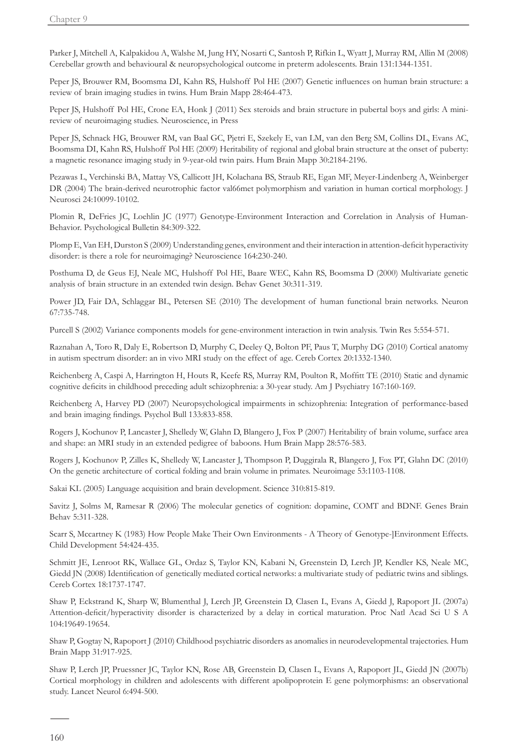Parker J, Mitchell A, Kalpakidou A, Walshe M, Jung HY, Nosarti C, Santosh P, Rifkin L, Wyatt J, Murray RM, Allin M (2008) Cerebellar growth and behavioural & neuropsychological outcome in preterm adolescents. Brain 131:1344-1351.

Peper JS, Brouwer RM, Boomsma DI, Kahn RS, Hulshoff Pol HE (2007) Genetic influences on human brain structure: a review of brain imaging studies in twins. Hum Brain Mapp 28:464-473.

Peper JS, Hulshoff Pol HE, Crone EA, Honk J (2011) Sex steroids and brain structure in pubertal boys and girls: A minireview of neuroimaging studies. Neuroscience, in Press

Peper JS, Schnack HG, Brouwer RM, van Baal GC, Pjetri E, Szekely E, van LM, van den Berg SM, Collins DL, Evans AC, Boomsma DI, Kahn RS, Hulshoff Pol HE (2009) Heritability of regional and global brain structure at the onset of puberty: a magnetic resonance imaging study in 9-year-old twin pairs. Hum Brain Mapp 30:2184-2196.

Pezawas L, Verchinski BA, Mattay VS, Callicott JH, Kolachana BS, Straub RE, Egan MF, Meyer-Lindenberg A, Weinberger DR (2004) The brain-derived neurotrophic factor val66met polymorphism and variation in human cortical morphology. J Neurosci 24:10099-10102.

Plomin R, DeFries JC, Loehlin JC (1977) Genotype-Environment Interaction and Correlation in Analysis of Human-Behavior. Psychological Bulletin 84:309-322.

Plomp E, Van EH, Durston S (2009) Understanding genes, environment and their interaction in attention-deficit hyperactivity disorder: is there a role for neuroimaging? Neuroscience 164:230-240.

Posthuma D, de Geus EJ, Neale MC, Hulshoff Pol HE, Baare WEC, Kahn RS, Boomsma D (2000) Multivariate genetic analysis of brain structure in an extended twin design. Behav Genet 30:311-319.

Power JD, Fair DA, Schlaggar BL, Petersen SE (2010) The development of human functional brain networks. Neuron 67:735-748.

Purcell S (2002) Variance components models for gene-environment interaction in twin analysis. Twin Res 5:554-571.

Raznahan A, Toro R, Daly E, Robertson D, Murphy C, Deeley Q, Bolton PF, Paus T, Murphy DG (2010) Cortical anatomy in autism spectrum disorder: an in vivo MRI study on the effect of age. Cereb Cortex 20:1332-1340.

Reichenberg A, Caspi A, Harrington H, Houts R, Keefe RS, Murray RM, Poulton R, Moffitt TE (2010) Static and dynamic cognitive deficits in childhood preceding adult schizophrenia: a 30-year study. Am J Psychiatry 167:160-169.

Reichenberg A, Harvey PD (2007) Neuropsychological impairments in schizophrenia: Integration of performance-based and brain imaging findings. Psychol Bull 133:833-858.

Rogers J, Kochunov P, Lancaster J, Shelledy W, Glahn D, Blangero J, Fox P (2007) Heritability of brain volume, surface area and shape: an MRI study in an extended pedigree of baboons. Hum Brain Mapp 28:576-583.

Rogers J, Kochunov P, Zilles K, Shelledy W, Lancaster J, Thompson P, Duggirala R, Blangero J, Fox PT, Glahn DC (2010) On the genetic architecture of cortical folding and brain volume in primates. Neuroimage 53:1103-1108.

Sakai KL (2005) Language acquisition and brain development. Science 310:815-819.

Savitz J, Solms M, Ramesar R (2006) The molecular genetics of cognition: dopamine, COMT and BDNF. Genes Brain Behav 5:311-328.

Scarr S, Mccartney K (1983) How People Make Their Own Environments - A Theory of Genotype-]Environment Effects. Child Development 54:424-435.

Schmitt JE, Lenroot RK, Wallace GL, Ordaz S, Taylor KN, Kabani N, Greenstein D, Lerch JP, Kendler KS, Neale MC, Giedd JN (2008) Identification of genetically mediated cortical networks: a multivariate study of pediatric twins and siblings. Cereb Cortex 18:1737-1747.

Shaw P, Eckstrand K, Sharp W, Blumenthal J, Lerch JP, Greenstein D, Clasen L, Evans A, Giedd J, Rapoport JL (2007a) Attention-deficit/hyperactivity disorder is characterized by a delay in cortical maturation. Proc Natl Acad Sci U S A 104:19649-19654.

Shaw P, Gogtay N, Rapoport J (2010) Childhood psychiatric disorders as anomalies in neurodevelopmental trajectories. Hum Brain Mapp 31:917-925.

Shaw P, Lerch JP, Pruessner JC, Taylor KN, Rose AB, Greenstein D, Clasen L, Evans A, Rapoport JL, Giedd JN (2007b) Cortical morphology in children and adolescents with different apolipoprotein E gene polymorphisms: an observational study. Lancet Neurol 6:494-500.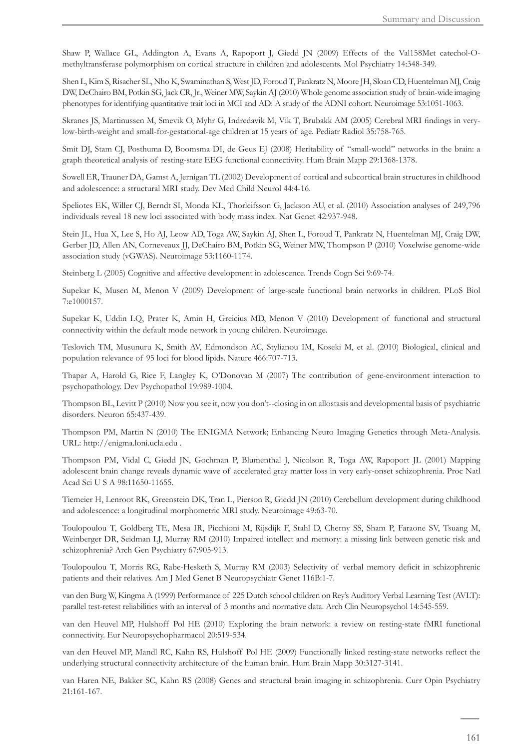Shaw P, Wallace GL, Addington A, Evans A, Rapoport J, Giedd JN (2009) Effects of the Val158Met catechol-Omethyltransferase polymorphism on cortical structure in children and adolescents. Mol Psychiatry 14:348-349.

Shen L, Kim S, Risacher SL, Nho K, Swaminathan S, West JD, Foroud T, Pankratz N, Moore JH, Sloan CD, Huentelman MJ, Craig DW, DeChairo BM, Potkin SG, Jack CR, Jr., Weiner MW, Saykin AJ (2010) Whole genome association study of brain-wide imaging phenotypes for identifying quantitative trait loci in MCI and AD: A study of the ADNI cohort. Neuroimage 53:1051-1063.

Skranes JS, Martinussen M, Smevik O, Myhr G, Indredavik M, Vik T, Brubakk AM (2005) Cerebral MRI findings in verylow-birth-weight and small-for-gestational-age children at 15 years of age. Pediatr Radiol 35:758-765.

Smit DJ, Stam CJ, Posthuma D, Boomsma DI, de Geus EJ (2008) Heritability of "small-world" networks in the brain: a graph theoretical analysis of resting-state EEG functional connectivity. Hum Brain Mapp 29:1368-1378.

Sowell ER, Trauner DA, Gamst A, Jernigan TL (2002) Development of cortical and subcortical brain structures in childhood and adolescence: a structural MRI study. Dev Med Child Neurol 44:4-16.

Speliotes EK, Willer CJ, Berndt SI, Monda KL, Thorleifsson G, Jackson AU, et al. (2010) Association analyses of 249,796 individuals reveal 18 new loci associated with body mass index. Nat Genet 42:937-948.

Stein JL, Hua X, Lee S, Ho AJ, Leow AD, Toga AW, Saykin AJ, Shen L, Foroud T, Pankratz N, Huentelman MJ, Craig DW, Gerber JD, Allen AN, Corneveaux JJ, DeChairo BM, Potkin SG, Weiner MW, Thompson P (2010) Voxelwise genome-wide association study (vGWAS). Neuroimage 53:1160-1174.

Steinberg L (2005) Cognitive and affective development in adolescence. Trends Cogn Sci 9:69-74.

Supekar K, Musen M, Menon V (2009) Development of large-scale functional brain networks in children. PLoS Biol 7:e1000157.

Supekar K, Uddin LQ, Prater K, Amin H, Greicius MD, Menon V (2010) Development of functional and structural connectivity within the default mode network in young children. Neuroimage.

Teslovich TM, Musunuru K, Smith AV, Edmondson AC, Stylianou IM, Koseki M, et al. (2010) Biological, clinical and population relevance of 95 loci for blood lipids. Nature 466:707-713.

Thapar A, Harold G, Rice F, Langley K, O'Donovan M (2007) The contribution of gene-environment interaction to psychopathology. Dev Psychopathol 19:989-1004.

Thompson BL, Levitt P (2010) Now you see it, now you don't--closing in on allostasis and developmental basis of psychiatric disorders. Neuron 65:437-439.

Thompson PM, Martin N (2010) The ENIGMA Network; Enhancing Neuro Imaging Genetics through Meta-Analysis. URL: http://enigma.loni.ucla.edu .

Thompson PM, Vidal C, Giedd JN, Gochman P, Blumenthal J, Nicolson R, Toga AW, Rapoport JL (2001) Mapping adolescent brain change reveals dynamic wave of accelerated gray matter loss in very early-onset schizophrenia. Proc Natl Acad Sci U S A 98:11650-11655.

Tiemeier H, Lenroot RK, Greenstein DK, Tran L, Pierson R, Giedd JN (2010) Cerebellum development during childhood and adolescence: a longitudinal morphometric MRI study. Neuroimage 49:63-70.

Toulopoulou T, Goldberg TE, Mesa IR, Picchioni M, Rijsdijk F, Stahl D, Cherny SS, Sham P, Faraone SV, Tsuang M, Weinberger DR, Seidman LJ, Murray RM (2010) Impaired intellect and memory: a missing link between genetic risk and schizophrenia? Arch Gen Psychiatry 67:905-913.

Toulopoulou T, Morris RG, Rabe-Hesketh S, Murray RM (2003) Selectivity of verbal memory deficit in schizophrenic patients and their relatives. Am J Med Genet B Neuropsychiatr Genet 116B:1-7.

van den Burg W, Kingma A (1999) Performance of 225 Dutch school children on Rey's Auditory Verbal Learning Test (AVLT): parallel test-retest reliabilities with an interval of 3 months and normative data. Arch Clin Neuropsychol 14:545-559.

van den Heuvel MP, Hulshoff Pol HE (2010) Exploring the brain network: a review on resting-state fMRI functional connectivity. Eur Neuropsychopharmacol 20:519-534.

van den Heuvel MP, Mandl RC, Kahn RS, Hulshoff Pol HE (2009) Functionally linked resting-state networks reflect the underlying structural connectivity architecture of the human brain. Hum Brain Mapp 30:3127-3141.

van Haren NE, Bakker SC, Kahn RS (2008) Genes and structural brain imaging in schizophrenia. Curr Opin Psychiatry 21:161-167.